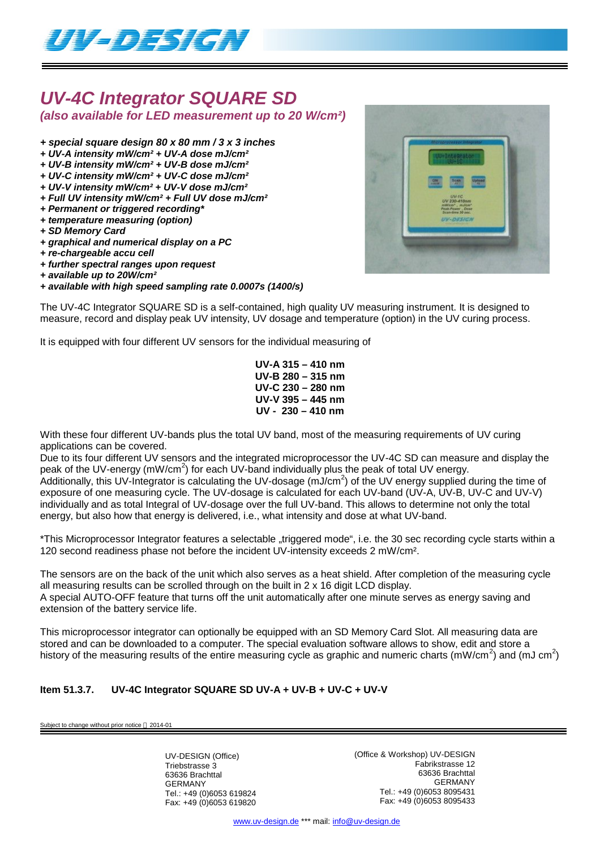

# *UV-4C Integrator SQUARE SD*

*(also available for LED measurement up to 20 W/cm²)*

- *+ special square design 80 x 80 mm / 3 x 3 inches*
- *+ UV-A intensity mW/cm² + UV-A dose mJ/cm²*
- *+ UV-B intensity mW/cm² + UV-B dose mJ/cm²*
- *+ UV-C intensity mW/cm² + UV-C dose mJ/cm²*
- *+ UV-V intensity mW/cm² + UV-V dose mJ/cm²*
- *+ Full UV intensity mW/cm² + Full UV dose mJ/cm² + Permanent or triggered recording\**
- *+ temperature measuring (option)*
- *+ SD Memory Card*
- *+ graphical and numerical display on a PC*
- *+ re-chargeable accu cell*
- *+ further spectral ranges upon request*
- *+ available up to 20W/cm²*
- *+ available with high speed sampling rate 0.0007s (1400/s)*

The UV-4C Integrator SQUARE SD is a self-contained, high quality UV measuring instrument. It is designed to measure, record and display peak UV intensity, UV dosage and temperature (option) in the UV curing process.

It is equipped with four different UV sensors for the individual measuring of

**UV-A 315 – 410 nm UV-B 280 – 315 nm UV-C 230 – 280 nm UV-V 395 – 445 nm UV - 230 – 410 nm**

With these four different UV-bands plus the total UV band, most of the measuring requirements of UV curing applications can be covered.

Due to its four different UV sensors and the integrated microprocessor the UV-4C SD can measure and display the peak of the UV-energy (mW/cm<sup>2</sup>) for each UV-band individually plus the peak of total UV energy. Additionally, this UV-Integrator is calculating the UV-dosage (mJ/cm<sup>2</sup>) of the UV energy supplied during the time of exposure of one measuring cycle. The UV-dosage is calculated for each UV-band (UV-A, UV-B, UV-C and UV-V) individually and as total Integral of UV-dosage over the full UV-band. This allows to determine not only the total energy, but also how that energy is delivered, i.e., what intensity and dose at what UV-band.

\*This Microprocessor Integrator features a selectable "triggered mode", i.e. the 30 sec recording cycle starts within a 120 second readiness phase not before the incident UV-intensity exceeds 2 mW/cm².

The sensors are on the back of the unit which also serves as a heat shield. After completion of the measuring cycle all measuring results can be scrolled through on the built in 2 x 16 digit LCD display. A special AUTO-OFF feature that turns off the unit automatically after one minute serves as energy saving and extension of the battery service life.

This microprocessor integrator can optionally be equipped with an SD Memory Card Slot. All measuring data are stored and can be downloaded to a computer. The special evaluation software allows to show, edit and store a history of the measuring results of the entire measuring cycle as graphic and numeric charts (mW/cm<sup>2</sup>) and (mJ cm<sup>2</sup>)

### **Item 51.3.7. UV-4C Integrator SQUARE SD UV-A + UV-B + UV-C + UV-V**

ct to change without prior notice  $@$  2014-01

UV-DESIGN (Office) Triebstrasse 3 63636 Brachttal GERMANY Tel.: +49 (0)6053 619824 Fax: +49 (0)6053 619820 (Office & Workshop) UV-DESIGN Fabrikstrasse 12 63636 Brachttal GERMANY Tel.: +49 (0)6053 8095431 Fax: +49 (0)6053 8095433

www.uv-design.de \*\*\* mail: info@uv-design.de